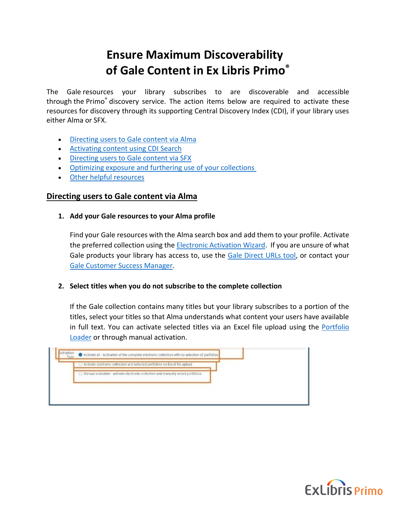# **Ensure Maximum Discoverability of Gale Content in Ex Libris Primo®**

The Gale resources your library subscribes to are discoverable and accessible through the Primo® discovery service. The action items below are required to activate these resources for discovery through its supporting Central Discovery Index (CDI), if your library uses either Alma or SFX.

- [Directing](#page-0-0) users to Gale content via Alma
- [Activating content using CDI Search](#page-1-0)
- [Directing users to](#page-2-0) Gale content via SFX
- [Optimizing exposure and furthering use of your collections](#page-3-0)
- [Other helpful resources](#page-4-0)

## <span id="page-0-0"></span>**Directing users to Gale content via Alma**

**1. Add your Gale resources to your Alma profile** 

Find your Gale resources with the Alma search box and add them to your profile. Activate the preferred collection using the [Electronic Activation Wizard.](https://knowledge.exlibrisgroup.com/Alma/Product_Documentation/010Alma_Online_Help_(English)/040Resource_Management/050Inventory/020Managing_Electronic_Resources/Activating_Electronic_Resources#Activating_an_Electronic_Collection_Using_the_Activation_Wizard) If you are unsure of what Gale products your library has access to, use the [Gale Direct URLs tool,](https://support.gale.com/urls/products/) or contact your [Gale Customer Success Manager.](https://support.gale.com/connect/success/)

### **2. Select titles when you do not subscribe to the complete collection**

If the Gale collection contains many titles but your library subscribes to a portion of the titles, select your titles so that Alma understands what content your users have available in full text. You can activate selected titles via an Excel file upload using the Portfolio [Loader](https://knowledge.exlibrisgroup.com/Alma/Product_Documentation/010Alma_Online_Help_(English)/Electronic_Resource_Management/030_Working_with_Local_Electronic_Resources/015Managing_Electronic_Resources#Using_Portfolio_Loader_for_Adding.2C_Updating_or_Removing_Portfolio_Information_in_Bulk) or through manual activation.

| Activate electronic collection and selected portfolios via Excel file upload      |  |  |
|-----------------------------------------------------------------------------------|--|--|
| S Manual activation activate electronic collection and manually select portfolios |  |  |
|                                                                                   |  |  |
|                                                                                   |  |  |

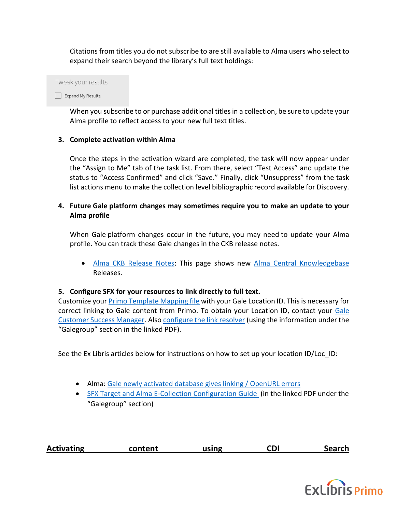Citations from titles you do not subscribe to are still available to Alma users who select to expand their search beyond the library's full text holdings:

Tweak your results

Expand My Results

When you subscribe to or purchase additional titles in a collection, be sure to update your Alma profile to reflect access to your new full text titles.

## **3. Complete activation within Alma**

Once the steps in the activation wizard are completed, the task will now appear under the "Assign to Me" tab of the task list. From there, select "Test Access" and update the status to "Access Confirmed" and click "Save." Finally, click "Unsuppress" from the task list actions menu to make the collection level bibliographic record available for Discovery.

## **4. Future Gale platform changes may sometimes require you to make an update to your Alma profile**

When Gale platform changes occur in the future, you may need to update your Alma profile. You can track these Gale changes in the CKB release notes.

• [Alma CKB Release Notes:](https://knowledge.exlibrisgroup.com/Alma/Content_Corner/Release_Notes) This page shows new [Alma Central Knowledgebase](https://knowledge.exlibrisgroup.com/Alma/Product_Materials/050Alma_FAQs/E-Resource_Management/Central_KnowledgeBase_(CKB)) Releases.

## **5. Configure SFX for your resources to link directly to full text.**

Customize your [Primo Template Mapping file](https://knowledge.exlibrisgroup.com/Primo/Content_Corner/Knowledge_Articles/Linking_to_Gale_Collections) with your Gale Location ID. This is necessary for correct linking to Gale content from Primo. To obtain your Location ID, contact your [Gale](https://support.gale.com/connect/success/)  [Customer Success Manager.](https://support.gale.com/connect/success/) Also [configure the link resolver](https://knowledge.exlibrisgroup.com/Cross-Product/Integrations/Alma_and_SFX) (using the information under the "Galegroup" section in the linked PDF).

See the Ex Libris articles below for instructions on how to set up your location ID/Loc ID:

- Alma: [Gale newly activated database gives linking / OpenURL errors](https://knowledge.exlibrisgroup.com/Alma/Knowledge_Articles/Gale_newly_activated_database_gives_linking_errors)
- [SFX Target and Alma E-Collection Configuration Guide](https://knowledge.exlibrisgroup.com/@api/deki/files/26602/SFX_Target_and_Alma_E-Collection_Configuration.pdf) (in the linked PDF under the "Galegroup" section)

<span id="page-1-0"></span>

| <b>Activating</b> | content | using | CDI | <b>Search</b> |
|-------------------|---------|-------|-----|---------------|
|                   |         |       |     |               |

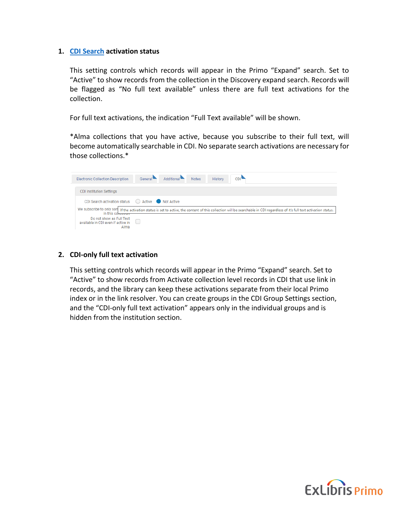## **1. [CDI Search](https://knowledge.exlibrisgroup.com/Alma/Product_Documentation/010Alma_Online_Help_(English)/040Resource_Management/050Inventory/020Managing_Electronic_Resources#Electronic_Collection_Editor_CDI_Tab) activation status**

This setting controls which records will appear in the Primo "Expand" search. Set to "Active" to show records from the collection in the Discovery expand search. Records will be flagged as "No full text available" unless there are full text activations for the collection.

For full text activations, the indication "Full Text available" will be shown.

\*Alma collections that you have active, because you subscribe to their full text, will become automatically searchable in CDI. No separate search activations are necessary for those collections.\*

| Additional<br>General <sup>-</sup><br>CDI <sup>1</sup><br><b>Notes</b><br>History<br><b>Electronic Collection Description</b>                                                                       |  |  |  |  |  |  |
|-----------------------------------------------------------------------------------------------------------------------------------------------------------------------------------------------------|--|--|--|--|--|--|
|                                                                                                                                                                                                     |  |  |  |  |  |  |
| <b>CDI Institution Settings</b>                                                                                                                                                                     |  |  |  |  |  |  |
| CDI Search activation status ○ Active ● Not Active                                                                                                                                                  |  |  |  |  |  |  |
| We subscribe to only son   If the activation status is set to active, the content of this collection will be searchable in CDI regardless of it's full text activation status.<br>in this community |  |  |  |  |  |  |
| Do not show as Full Text<br>available in CDI even if active in<br>Alma                                                                                                                              |  |  |  |  |  |  |

## **2. CDI-only full text activation**

<span id="page-2-0"></span>This setting controls which records will appear in the Primo "Expand" search. Set to "Active" to show records from Activate collection level records in CDI that use link in records, and the library can keep these activations separate from their local Primo index or in the link resolver. You can create groups in the CDI Group Settings section, and the "CDI-only full text activation" appears only in the individual groups and is hidden from the institution section.

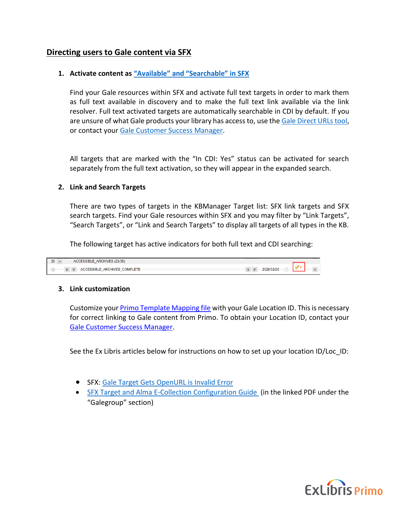# **Directing users to Gale content via SFX**

## **1. Activate content as ["Available" and "Searchable" in SFX](https://knowledge.exlibrisgroup.com/Primo/Content_Corner/Central_Discovery_Index/Documentation_and_Training/040SFX_-_CDI_Single_Activation/010Target_Activation_for_CDI_in_SFX)**

Find your Gale resources within SFX and activate full text targets in order to mark them as full text available in discovery and to make the full text link available via the link resolver. Full text activated targets are automatically searchable in CDI by default. If you are unsure of what Gale products your library has access to, use th[e Gale Direct URLs tool,](https://support.gale.com/urls/products/) or contact your [Gale Customer Success Manager.](https://support.gale.com/connect/success/)

All targets that are marked with the "In CDI: Yes" status can be activated for search separately from the full text activation, so they will appear in the expanded search.

### **2. Link and Search Targets**

There are two types of targets in the KBManager Target list: SFX link targets and SFX search targets. Find your Gale resources within SFX and you may filter by "Link Targets", "Search Targets", or "Link and Search Targets" to display all targets of all types in the KB.

The following target has active indicators for both full text and CDI searching:



### **3. Link customization**

Customize you[r Primo Template Mapping file](https://knowledge.exlibrisgroup.com/Primo/Content_Corner/Knowledge_Articles/Linking_to_Gale_Collections) with your Gale Location ID. This is necessary for correct linking to Gale content from Primo. To obtain your Location ID, contact your [Gale Customer Success Manager.](https://support.gale.com/connect/success/)

See the Ex Libris articles below for instructions on how to set up your location ID/Loc\_ID:

- SFX: [Gale Target Gets OpenURL is Invalid Error](https://knowledge.exlibrisgroup.com/SFX/Knowledge_Articles/Gale_Target_Gets_OpenURL_is_Invalid_Error)
- <span id="page-3-0"></span>• [SFX Target and Alma E-Collection Configuration Guide](https://knowledge.exlibrisgroup.com/@api/deki/files/26602/SFX_Target_and_Alma_E-Collection_Configuration.pdf) (in the linked PDF under the "Galegroup" section)